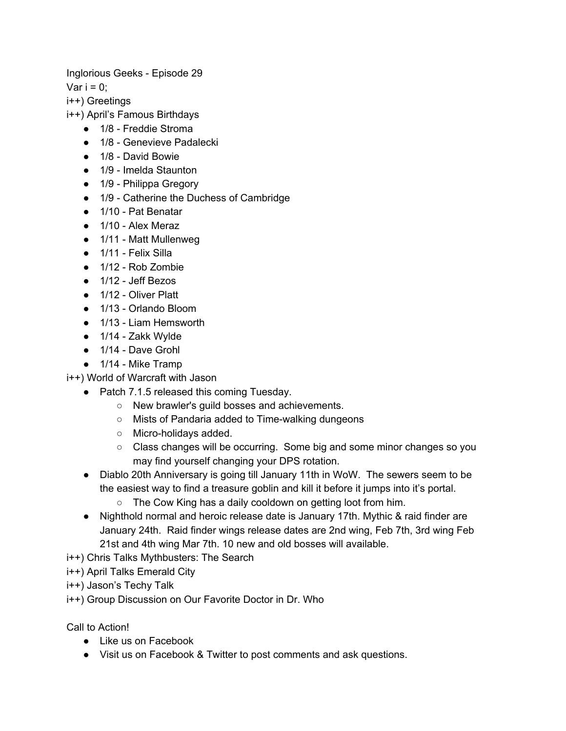Inglorious Geeks - Episode 29

Var  $i = 0$ ;

i++) Greetings

i++) April's Famous Birthdays

- 1/8 Freddie Stroma
- 1/8 Genevieve Padalecki
- 1/8 David Bowie
- 1/9 Imelda Staunton
- 1/9 Philippa Gregory
- 1/9 Catherine the Duchess of Cambridge
- 1/10 Pat Benatar
- 1/10 Alex Meraz
- 1/11 Matt Mullenweg
- 1/11 Felix Silla
- 1/12 Rob Zombie
- 1/12 Jeff Bezos
- 1/12 Oliver Platt
- 1/13 Orlando Bloom
- 1/13 Liam Hemsworth
- 1/14 Zakk Wylde
- 1/14 Dave Grohl
- 1/14 Mike Tramp

i++) World of Warcraft with Jason

- Patch 7.1.5 released this coming Tuesday.
	- New brawler's guild bosses and achievements.
	- Mists of Pandaria added to Time-walking dungeons
	- Micro-holidays added.
	- Class changes will be occurring. Some big and some minor changes so you may find yourself changing your DPS rotation.
- Diablo 20th Anniversary is going till January 11th in WoW. The sewers seem to be the easiest way to find a treasure goblin and kill it before it jumps into it's portal.
	- The Cow King has a daily cooldown on getting loot from him.
- Nighthold normal and heroic release date is January 17th. Mythic & raid finder are January 24th. Raid finder wings release dates are 2nd wing, Feb 7th, 3rd wing Feb 21st and 4th wing Mar 7th. 10 new and old bosses will available.
- i++) Chris Talks Mythbusters: The Search
- i++) April Talks Emerald City

i++) Jason's Techy Talk

i++) Group Discussion on Our Favorite Doctor in Dr. Who

Call to Action!

- Like us on Facebook
- Visit us on Facebook & Twitter to post comments and ask questions.